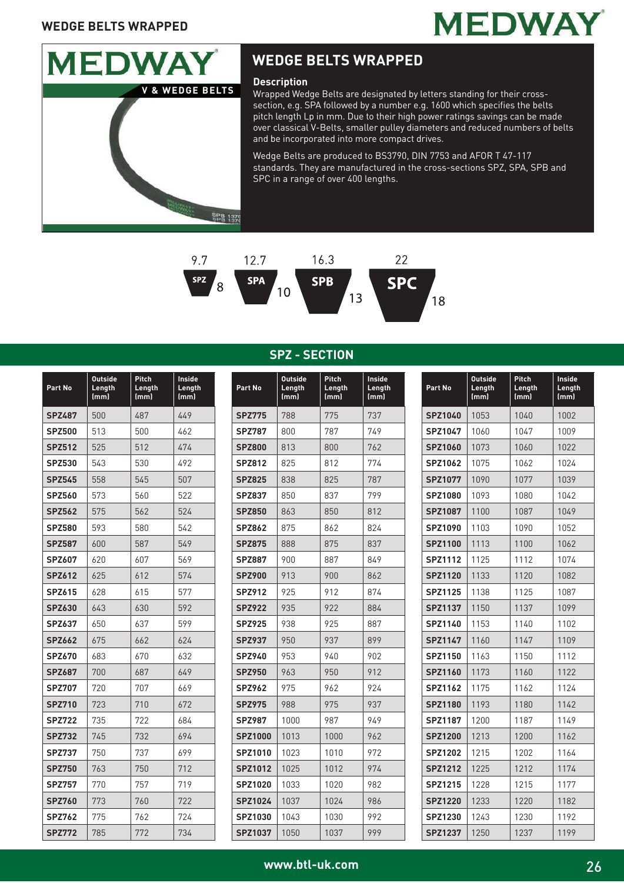



Wrapped Wedge Belts are designated by letters standing for their crosssection, e.g. SPA followed by a number e.g. 1600 which specifies the belts pitch length Lp in mm. Due to their high power ratings savings can be made over classical V-Belts, smaller pulley diameters and reduced numbers of belts and be incorporated into more compact drives.

Wedge Belts are produced to BS3790, DIN 7753 and AFOR T 47-117 standards. They are manufactured in the cross-sections SPZ, SPA, SPB and SPC in a range of over 400 lengths.



**SPZ - SECTION**

| Part No       | <b>Outside</b><br>Length<br>(mm) | Pitch<br>Length<br>(mm) | Inside<br>Length<br>(mm) |
|---------------|----------------------------------|-------------------------|--------------------------|
| <b>SPZ487</b> | 500                              | 487                     | 449                      |
| <b>SPZ500</b> | 513                              | 500                     | 462                      |
| <b>SPZ512</b> | 525                              | 512                     | 474                      |
| <b>SPZ530</b> | 543                              | 530                     | 492                      |
| <b>SPZ545</b> | 558                              | 545                     | 507                      |
| <b>SPZ560</b> | 573                              | 560                     | 522                      |
| <b>SPZ562</b> | 575                              | 562                     | 524                      |
| <b>SPZ580</b> | 593                              | 580                     | 542                      |
| <b>SPZ587</b> | 600                              | 587                     | 549                      |
| <b>SPZ607</b> | 620                              | 607                     | 569                      |
| <b>SPZ612</b> | 625                              | 612                     | 574                      |
| <b>SPZ615</b> | 628                              | 615                     | 577                      |
| <b>SPZ630</b> | 643                              | 630                     | 592                      |
| <b>SPZ637</b> | 650                              | 637                     | 599                      |
| <b>SPZ662</b> | 675                              | 662                     | 624                      |
| <b>SPZ670</b> | 683                              | 670                     | 632                      |
| <b>SPZ687</b> | 700                              | 687                     | 649                      |
| <b>SPZ707</b> | 720                              | 707                     | 669                      |
| <b>SPZ710</b> | 723                              | 710                     | 672                      |
| <b>SPZ722</b> | 735                              | 722                     | 684                      |
| <b>SPZ732</b> | 745                              | 732                     | 694                      |
| <b>SPZ737</b> | 750                              | 737                     | 699                      |
| <b>SPZ750</b> | 763                              | 750                     | 712                      |
| <b>SPZ757</b> | 770                              | 757                     | 719                      |
| <b>SPZ760</b> | 773                              | 760                     | 722                      |
| <b>SPZ762</b> | 775                              | 762                     | 724                      |
| <b>SPZ772</b> | 785                              | 772                     | 734                      |

| Part No        | <b>Outside</b><br>Length<br>(mm) | Pitch<br>Length<br>(mm) | Inside<br>Length<br>(mm) |
|----------------|----------------------------------|-------------------------|--------------------------|
| <b>SPZ775</b>  | 788                              | 775                     | 737                      |
| <b>SPZ787</b>  | 800                              | 787                     | 749                      |
| <b>SPZ800</b>  | 813                              | 800                     | 762                      |
| <b>SPZ812</b>  | 825                              | 812                     | 774                      |
| <b>SPZ825</b>  | 838                              | 825                     | 787                      |
| <b>SPZ837</b>  | 850                              | 837                     | 799                      |
| <b>SPZ850</b>  | 863                              | 850                     | 812                      |
| <b>SPZ862</b>  | 875                              | 862                     | 824                      |
| <b>SPZ875</b>  | 888                              | 875                     | 837                      |
| <b>SPZ887</b>  | 900                              | 887                     | 849                      |
| <b>SPZ900</b>  | 913                              | 900                     | 862                      |
| <b>SPZ912</b>  | 925                              | 912                     | 874                      |
| <b>SPZ922</b>  | 935                              | 922                     | 884                      |
| <b>SPZ925</b>  | 938                              | 925                     | 887                      |
| <b>SPZ937</b>  | 950                              | 937                     | 899                      |
| <b>SPZ940</b>  | 953                              | 940                     | 902                      |
| <b>SPZ950</b>  | 963                              | 950                     | 912                      |
| <b>SPZ962</b>  | 975                              | 962                     | 924                      |
| <b>SPZ975</b>  | 988                              | 975                     | 937                      |
| <b>SPZ987</b>  | 1000                             | 987                     | 949                      |
| <b>SPZ1000</b> | 1013                             | 1000                    | 962                      |
| SPZ1010        | 1023                             | 1010                    | 972                      |
| <b>SPZ1012</b> | 1025                             | 1012                    | 974                      |
| SPZ1020        | 1033                             | 1020                    | 982                      |
| <b>SPZ1024</b> | 1037                             | 1024                    | 986                      |
| SPZ1030        | 1043                             | 1030                    | 992                      |
| <b>SPZ1037</b> | 1050                             | 1037                    | 999                      |

| Part No        | <b>Outside</b><br>Length<br>(mm) | Pitch<br>Length<br>(mm) | Inside<br>Length<br>(mm) |
|----------------|----------------------------------|-------------------------|--------------------------|
| SPZ1040        | 1053                             | 1040                    | 1002                     |
| <b>SPZ1047</b> | 1060                             | 1047                    | 1009                     |
| SPZ1060        | 1073                             | 1060                    | 1022                     |
| <b>SPZ1062</b> | 1075                             | 1062                    | 1024                     |
| <b>SPZ1077</b> | 1090                             | 1077                    | 1039                     |
| <b>SPZ1080</b> | 1093                             | 1080                    | 1042                     |
| <b>SPZ1087</b> | 1100                             | 1087                    | 1049                     |
| <b>SPZ1090</b> | 1103                             | 1090                    | 1052                     |
| SPZ1100        | 1113                             | 1100                    | 1062                     |
| <b>SPZ1112</b> | 1125                             | 1112                    | 1074                     |
| <b>SPZ1120</b> | 1133                             | 1120                    | 1082                     |
| <b>SPZ1125</b> | 1138                             | 1125                    | 1087                     |
| <b>SPZ1137</b> | 1150                             | 1137                    | 1099                     |
| SPZ1140        | 1153                             | 1140                    | 1102                     |
| <b>SPZ1147</b> | 1160                             | 1147                    | 1109                     |
| SPZ1150        | 1163                             | 1150                    | 1112                     |
| SPZ1160        | 1173                             | 1160                    | 1122                     |
| SPZ1162        | 1175                             | 1162                    | 1124                     |
| <b>SPZ1180</b> | 1193                             | 1180                    | 1142                     |
| <b>SPZ1187</b> | 1200                             | 1187                    | 1149                     |
| <b>SPZ1200</b> | 1213                             | 1200                    | 1162                     |
| SPZ1202        | 1215                             | 1202                    | 1164                     |
| <b>SPZ1212</b> | 1225                             | 1212                    | 1174                     |
| <b>SPZ1215</b> | 1228                             | 1215                    | 1177                     |
| <b>SPZ1220</b> | 1233                             | 1220                    | 1182                     |
| <b>SPZ1230</b> | 1243                             | 1230                    | 1192                     |
| <b>SPZ1237</b> | 1250                             | 1237                    | 1199                     |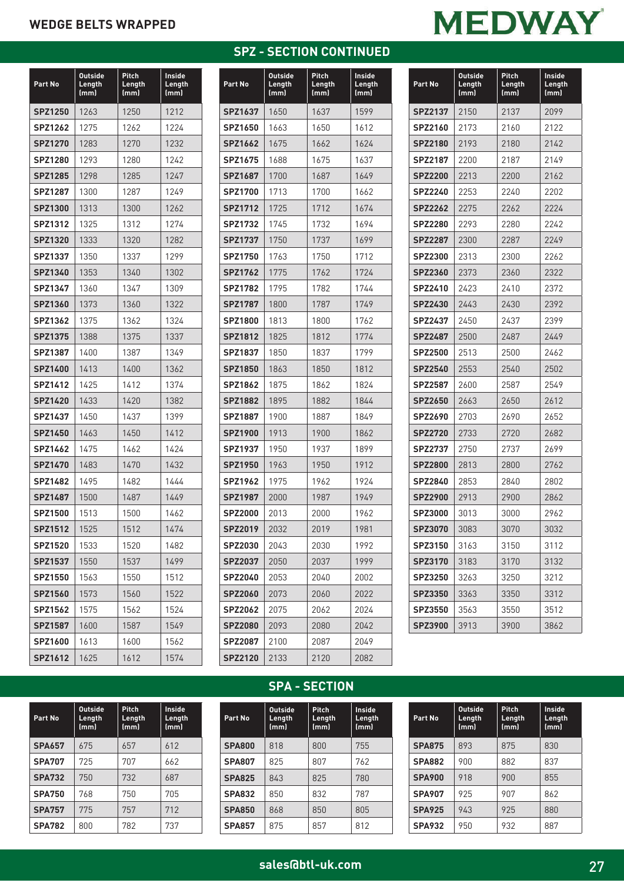## **MEDWAY**

| Part No        | <b>Outside</b><br>Length<br>(mm) | Pitch<br>Length<br>(mm) | <b>Inside</b><br>Length<br>(mm) |
|----------------|----------------------------------|-------------------------|---------------------------------|
| SPZ1250        | 1263                             | 1250                    | 1212                            |
| <b>SPZ1262</b> | 1275                             | 1262                    | 1224                            |
| <b>SPZ1270</b> | 1283                             | 1270                    | 1232                            |
| <b>SPZ1280</b> | 1293                             | 1280                    | 1242                            |
| <b>SPZ1285</b> | 1298                             | 1285                    | 1247                            |
| <b>SPZ1287</b> | 1300                             | 1287                    | 1249                            |
| <b>SPZ1300</b> | 1313                             | 1300                    | 1262                            |
| <b>SPZ1312</b> | 1325                             | 1312                    | 1274                            |
| <b>SPZ1320</b> | 1333                             | 1320                    | 1282                            |
| <b>SPZ1337</b> | 1350                             | 1337                    | 1299                            |
| <b>SPZ1340</b> | 1353                             | 1340                    | 1302                            |
| SPZ1347        | 1360                             | 1347                    | 1309                            |
| <b>SPZ1360</b> | 1373                             | 1360                    | 1322                            |
| <b>SPZ1362</b> | 1375                             | 1362                    | 1324                            |
| <b>SPZ1375</b> | 1388                             | 1375                    | 1337                            |
| <b>SPZ1387</b> | 1400                             | 1387                    | 1349                            |
| <b>SPZ1400</b> | 1413                             | 1400                    | 1362                            |
| <b>SPZ1412</b> | 1425                             | 1412                    | 1374                            |
| <b>SPZ1420</b> | 1433                             | 1420                    | 1382                            |
| SPZ1437        | 1450                             | 1437                    | 1399                            |
| SPZ1450        | 1463                             | 1450                    | 1412                            |
| <b>SPZ1462</b> | 1475                             | 1462                    | 1424                            |
| <b>SPZ1470</b> | 1483                             | 1470                    | 1432                            |
| SPZ1482        | 1495                             | 1482                    | 1444                            |
| <b>SPZ1487</b> | 1500                             | 1487                    | 1449                            |
| <b>SPZ1500</b> | 1513                             | 1500                    | 1462                            |
| SPZ1512        | 1525                             | 1512                    | 1474                            |
| <b>SPZ1520</b> | 1533                             | 1520                    | 1482                            |
| <b>SPZ1537</b> | 1550                             | 1537                    | 1499                            |
| SPZ1550        | 1563                             | 1550                    | 1512                            |
| <b>SPZ1560</b> | 1573                             | 1560                    | 1522                            |
| <b>SPZ1562</b> | 1575                             | 1562                    | 1524                            |
| <b>SPZ1587</b> | 1600                             | 1587                    | 1549                            |
| <b>SPZ1600</b> | 1613                             | 1600                    | 1562                            |
| SPZ1612        | 1625                             | 1612                    | 1574                            |

| <b>SPZ - SECTION CONTINUED</b> |  |  |
|--------------------------------|--|--|
|                                |  |  |

| Part No        | <b>Outside</b><br>Length<br>(mm) | Pitch<br>Length<br>(mm) | Inside<br>Length<br>(mm) |
|----------------|----------------------------------|-------------------------|--------------------------|
| <b>SPZ1637</b> | 1650                             | 1637                    | 1599                     |
| SPZ1650        | 1663                             | 1650                    | 1612                     |
| SPZ1662        | 1675                             | 1662                    | 1624                     |
| SPZ1675        | 1688                             | 1675                    | 1637                     |
| <b>SPZ1687</b> | 1700                             | 1687                    | 1649                     |
| <b>SPZ1700</b> | 1713                             | 1700                    | 1662                     |
| <b>SPZ1712</b> | 1725                             | 1712                    | 1674                     |
| <b>SPZ1732</b> | 1745                             | 1732                    | 1694                     |
| <b>SPZ1737</b> | 1750                             | 1737                    | 1699                     |
| <b>SPZ1750</b> | 1763                             | 1750                    | 1712                     |
| <b>SPZ1762</b> | 1775                             | 1762                    | 1724                     |
| <b>SPZ1782</b> | 1795                             | 1782                    | 1744                     |
| <b>SPZ1787</b> | 1800                             | 1787                    | 1749                     |
| <b>SPZ1800</b> | 1813                             | 1800                    | 1762                     |
| <b>SPZ1812</b> | 1825                             | 1812                    | 1774                     |
| <b>SPZ1837</b> | 1850                             | 1837                    | 1799                     |
| <b>SPZ1850</b> | 1863                             | 1850                    | 1812                     |
| <b>SPZ1862</b> | 1875                             | 1862                    | 1824                     |
| <b>SPZ1882</b> | 1895                             | 1882                    | 1844                     |
| <b>SPZ1887</b> | 1900                             | 1887                    | 1849                     |
| <b>SPZ1900</b> | 1913                             | 1900                    | 1862                     |
| <b>SPZ1937</b> | 1950                             | 1937                    | 1899                     |
| <b>SPZ1950</b> | 1963                             | 1950                    | 1912                     |
| <b>SPZ1962</b> | 1975                             | 1962                    | 1924                     |
| <b>SPZ1987</b> | 2000                             | 1987                    | 1949                     |
| <b>SPZ2000</b> | 2013                             | 2000                    | 1962                     |
| <b>SPZ2019</b> | 2032                             | 2019                    | 1981                     |
| SPZ2030        | 2043                             | 2030                    | 1992                     |
| <b>SPZ2037</b> | 2050                             | 2037                    | 1999                     |
| <b>SPZ2040</b> | 2053                             | 2040                    | 2002                     |
| <b>SPZ2060</b> | 2073                             | 2060                    | 2022                     |
| <b>SPZ2062</b> | 2075                             | 2062                    | 2024                     |
| <b>SPZ2080</b> | 2093                             | 2080                    | 2042                     |
| <b>SPZ2087</b> | 2100                             | 2087                    | 2049                     |
| <b>SPZ2120</b> | 2133                             | 2120                    | 2082                     |

| Part No        | Outside<br>Length<br>(mm) | Pitch<br>Length<br>(mm) | Inside<br>Length<br>(mm) |
|----------------|---------------------------|-------------------------|--------------------------|
| <b>SPZ2137</b> | 2150                      | 2137                    | 2099                     |
| SPZ2160        | 2173                      | 2160                    | 2122                     |
| <b>SPZ2180</b> | 2193                      | 2180                    | 2142                     |
| <b>SPZ2187</b> | 2200                      | 2187                    | 2149                     |
| <b>SPZ2200</b> | 2213                      | 2200                    | 2162                     |
| SPZ2240        | 2253                      | 2240                    | 2202                     |
| <b>SPZ2262</b> | 2275                      | 2262                    | 2224                     |
| <b>SPZ2280</b> | 2293                      | 2280                    | 2242                     |
| <b>SPZ2287</b> | 2300                      | 2287                    | 2249                     |
| <b>SPZ2300</b> | 2313                      | 2300                    | 2262                     |
| <b>SPZ2360</b> | 2373                      | 2360                    | 2322                     |
| SPZ2410        | 2423                      | 2410                    | 2372                     |
| <b>SPZ2430</b> | 2443                      | 2430                    | 2392                     |
| SPZ2437        | 2450                      | 2437                    | 2399                     |
| <b>SPZ2487</b> | 2500                      | 2487                    | 2449                     |
| SPZ2500        | 2513                      | 2500                    | 2462                     |
| <b>SPZ2540</b> | 2553                      | 2540                    | 2502                     |
| <b>SPZ2587</b> | 2600                      | 2587                    | 2549                     |
| <b>SPZ2650</b> | 2663                      | 2650                    | 2612                     |
| SPZ2690        | 2703                      | 2690                    | 2652                     |
| <b>SPZ2720</b> | 2733                      | 2720                    | 2682                     |
| <b>SPZ2737</b> | 2750                      | 2737                    | 2699                     |
| <b>SPZ2800</b> | 2813                      | 2800                    | 2762                     |
| SPZ2840        | 2853                      | 2840                    | 2802                     |
| <b>SPZ2900</b> | 2913                      | 2900                    | 2862                     |
| SPZ3000        | 3013                      | 3000                    | 2962                     |
| <b>SPZ3070</b> | 3083                      | 3070                    | 3032                     |
| SPZ3150        | 3163                      | 3150                    | 3112                     |
| <b>SPZ3170</b> | 3183                      | 3170                    | 3132                     |
| <b>SPZ3250</b> | 3263                      | 3250                    | 3212                     |
| <b>SPZ3350</b> | 3363                      | 3350                    | 3312                     |
| <b>SPZ3550</b> | 3563                      | 3550                    | 3512                     |
| <b>SPZ3900</b> | 3913                      | 3900                    | 3862                     |

## **SPA - SECTION**

| Part No       | <b>Outside</b><br>Length<br>(mm) | Pitch<br>Length<br>(mm) | Inside<br>Length<br>(mm) |
|---------------|----------------------------------|-------------------------|--------------------------|
| <b>SPA657</b> | 675                              | 657                     | 612                      |
| <b>SPA707</b> | 725                              | 707                     | 662                      |
| <b>SPA732</b> | 750                              | 732                     | 687                      |
| <b>SPA750</b> | 768                              | 750                     | 705                      |
| <b>SPA757</b> | 775                              | 757                     | 712                      |
| <b>SPA782</b> | 800                              | 782                     | 737                      |

| Part No       | <b>Outside</b><br>Length<br>(mm) | <b>Pitch</b><br>Length<br>(mm) | Inside<br>Length<br>(mm) |
|---------------|----------------------------------|--------------------------------|--------------------------|
| <b>SPA800</b> | 818                              | 800                            | 755                      |
| <b>SPA807</b> | 825                              | 807                            | 762                      |
| <b>SPA825</b> | 843                              | 825                            | 780                      |
| <b>SPA832</b> | 850                              | 832                            | 787                      |
| <b>SPA850</b> | 868                              | 850                            | 805                      |
| <b>SPA857</b> | 875                              | 857                            | 812                      |

| Part No       | <b>Outside</b><br>Length<br>(mm) | Pitch<br>Length<br>(mm) | Inside<br>Length<br>(mm) |
|---------------|----------------------------------|-------------------------|--------------------------|
| <b>SPA875</b> | 893                              | 875                     | 830                      |
| <b>SPA882</b> | 900                              | 882                     | 837                      |
| <b>SPA900</b> | 918                              | 900                     | 855                      |
| <b>SPA907</b> | 925                              | 907                     | 862                      |
| <b>SPA925</b> | 943                              | 925                     | 880                      |
| <b>SPA932</b> | 950                              | 932                     | 887                      |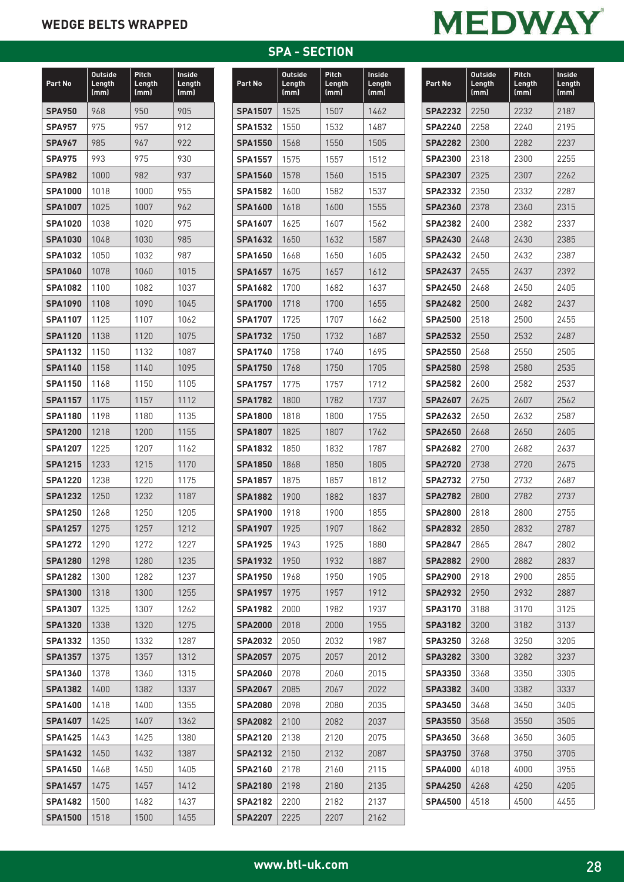| Part No        | <b>Outside</b><br><b>Length</b><br>(mm) | Pitch<br>Length<br>(mm) | Inside<br>Length<br>(mm) |
|----------------|-----------------------------------------|-------------------------|--------------------------|
| <b>SPA950</b>  | 968                                     | 950                     | 905                      |
| <b>SPA957</b>  | 975                                     | 957                     | 912                      |
| <b>SPA967</b>  | 985                                     | 967                     | 922                      |
| <b>SPA975</b>  | 993                                     | 975                     | 930                      |
| <b>SPA982</b>  | 1000                                    | 982                     | 937                      |
| <b>SPA1000</b> | 1018                                    | 1000                    | 955                      |
| <b>SPA1007</b> | 1025                                    | 1007                    | 962                      |
| <b>SPA1020</b> | 1038                                    | 1020                    | 975                      |
| <b>SPA1030</b> | 1048                                    | 1030                    | 985                      |
| <b>SPA1032</b> | 1050                                    | 1032                    | 987                      |
| <b>SPA1060</b> | 1078                                    | 1060                    | 1015                     |
| <b>SPA1082</b> | 1100                                    | 1082                    | 1037                     |
| <b>SPA1090</b> | 1108                                    | 1090                    | 1045                     |
| <b>SPA1107</b> | 1125                                    | 1107                    | 1062                     |
| <b>SPA1120</b> | 1138                                    | 1120                    | 1075                     |
| <b>SPA1132</b> | 1150                                    | 1132                    | 1087                     |
| <b>SPA1140</b> | 1158                                    | 1140                    | 1095                     |
| <b>SPA1150</b> | 1168                                    | 1150                    | 1105                     |
| <b>SPA1157</b> | 1175                                    | 1157                    | 1112                     |
| <b>SPA1180</b> | 1198                                    | 1180                    | 1135                     |
| <b>SPA1200</b> | 1218                                    | 1200                    | 1155                     |
| <b>SPA1207</b> | 1225                                    | 1207                    | 1162                     |
| <b>SPA1215</b> | 1233                                    | 1215                    | 1170                     |
| <b>SPA1220</b> | 1238                                    | 1220                    | 1175                     |
| <b>SPA1232</b> | 1250                                    | 1232                    | 1187                     |
| <b>SPA1250</b> | 1268                                    | 1250                    | 1205                     |
| <b>SPA1257</b> | 1275                                    | 1257                    | 1212                     |
| <b>SPA1272</b> | 1290                                    | 1272                    | 1227                     |
| <b>SPA1280</b> | 1298                                    | 1280                    | 1235                     |
| <b>SPA1282</b> | 1300                                    | 1282                    | 1237                     |
| <b>SPA1300</b> | 1318                                    | 1300                    | 1255                     |
| <b>SPA1307</b> | 1325                                    | 1307                    | 1262                     |
| <b>SPA1320</b> | 1338                                    | 1320                    | 1275                     |
| <b>SPA1332</b> | 1350                                    | 1332                    | 1287                     |
| <b>SPA1357</b> | 1375                                    | 1357                    | 1312                     |
| <b>SPA1360</b> | 1378                                    | 1360                    | 1315                     |
| <b>SPA1382</b> | 1400                                    | 1382                    | 1337                     |
| <b>SPA1400</b> | 1418                                    | 1400                    | 1355                     |
| <b>SPA1407</b> | 1425                                    | 1407                    | 1362                     |
| <b>SPA1425</b> | 1443                                    | 1425                    | 1380                     |
| <b>SPA1432</b> | 1450                                    | 1432                    | 1387                     |
| <b>SPA1450</b> | 1468                                    | 1450                    | 1405                     |
| <b>SPA1457</b> | 1475                                    | 1457                    | 1412                     |
| <b>SPA1482</b> | 1500                                    | 1482                    | 1437                     |
| <b>SPA1500</b> | 1518                                    | 1500                    | 1455                     |

#### **SPA - SECTION**

| Part No        | <b>Outside</b><br>Length<br>(mm) | Pitch<br>Length<br>(mm) | Inside<br>Length<br>(mm) |
|----------------|----------------------------------|-------------------------|--------------------------|
| <b>SPA1507</b> | 1525                             | 1507                    | 1462                     |
| <b>SPA1532</b> | 1550                             | 1532                    | 1487                     |
| <b>SPA1550</b> | 1568                             | 1550                    | 1505                     |
| <b>SPA1557</b> | 1575                             | 1557                    | 1512                     |
| <b>SPA1560</b> | 1578                             | 1560                    | 1515                     |
| <b>SPA1582</b> | 1600                             | 1582                    | 1537                     |
| <b>SPA1600</b> | 1618                             | 1600                    | 1555                     |
| <b>SPA1607</b> | 1625                             | 1607                    | 1562                     |
| <b>SPA1632</b> | 1650                             | 1632                    | 1587                     |
| <b>SPA1650</b> | 1668                             | 1650                    | 1605                     |
| <b>SPA1657</b> | 1675                             | 1657                    | 1612                     |
| <b>SPA1682</b> | 1700                             | 1682                    | 1637                     |
| <b>SPA1700</b> | 1718                             | 1700                    | 1655                     |
| <b>SPA1707</b> | 1725                             | 1707                    | 1662                     |
| <b>SPA1732</b> | 1750                             | 1732                    | 1687                     |
| <b>SPA1740</b> | 1758                             | 1740                    | 1695                     |
| <b>SPA1750</b> | 1768                             | 1750                    | 1705                     |
| <b>SPA1757</b> | 1775                             | 1757                    | 1712                     |
| <b>SPA1782</b> | 1800                             | 1782                    | 1737                     |
| <b>SPA1800</b> | 1818                             | 1800                    | 1755                     |
| <b>SPA1807</b> | 1825                             | 1807                    | 1762                     |
| <b>SPA1832</b> | 1850                             | 1832                    | 1787                     |
| <b>SPA1850</b> | 1868                             | 1850                    | 1805                     |
| <b>SPA1857</b> | 1875                             | 1857                    | 1812                     |
| <b>SPA1882</b> | 1900                             | 1882                    | 1837                     |
| <b>SPA1900</b> | 1918                             | 1900                    | 1855                     |
| <b>SPA1907</b> | 1925                             | 1907                    | 1862                     |
| <b>SPA1925</b> | 1943                             | 1925                    | 1880                     |
| <b>SPA1932</b> | 1950                             | 1932                    | 1887                     |
| <b>SPA1950</b> | 1968                             | 1950                    | 1905                     |
| <b>SPA1957</b> | 1975                             | 1957                    | 1912                     |
| <b>SPA1982</b> | 2000                             | 1982                    | 1937                     |
| <b>SPA2000</b> | 2018                             | 2000                    | 1955                     |
| <b>SPA2032</b> | 2050                             | 2032                    | 1987                     |
| <b>SPA2057</b> | 2075                             | 2057                    | 2012                     |
| <b>SPA2060</b> | 2078                             | 2060                    | 2015                     |
| <b>SPA2067</b> | 2085                             | 2067                    | 2022                     |
| <b>SPA2080</b> | 2098                             | 2080                    | 2035                     |
| <b>SPA2082</b> | 2100                             | 2082                    | 2037                     |
| <b>SPA2120</b> | 2138                             | 2120                    | 2075                     |
| <b>SPA2132</b> | 2150                             | 2132                    | 2087                     |
| <b>SPA2160</b> | 2178                             | 2160                    | 2115                     |
| <b>SPA2180</b> | 2198                             | 2180                    | 2135                     |
| <b>SPA2182</b> | 2200                             | 2182                    | 2137                     |
| <b>SPA2207</b> | 2225                             | 2207                    | 2162                     |

| Part No                          | <b>Outside</b><br>Length<br>(mm) | Pitch<br>Length<br>(mm) | Inside<br>Length<br>(mm) |  |
|----------------------------------|----------------------------------|-------------------------|--------------------------|--|
| <b>SPA2232</b>                   | 2250                             | 2232                    | 2187                     |  |
| <b>SPA2240</b>                   | 2258                             | 2240                    | 2195                     |  |
| <b>SPA2282</b>                   | 2300                             | 2282                    | 2237                     |  |
| <b>SPA2300</b>                   | 2318                             | 2300                    | 2255                     |  |
| <b>SPA2307</b>                   | 2325                             | 2307                    | 2262                     |  |
| <b>SPA2332</b>                   | 2350                             | 2332                    | 2287                     |  |
| <b>SPA2360</b>                   | 2378                             | 2360                    | 2315                     |  |
| <b>SPA2382</b>                   | 2400                             | 2382                    | 2337                     |  |
| <b>SPA2430</b>                   | 2448                             | 2430                    | 2385                     |  |
| <b>SPA2432</b>                   | 2450                             | 2432                    | 2387                     |  |
| <b>SPA2437</b>                   | 2455                             | 2437                    | 2392                     |  |
| <b>SPA2450</b>                   | 2468                             | 2450                    | 2405                     |  |
| <b>SPA2482</b>                   | 2500                             | 2482                    | 2437                     |  |
| <b>SPA2500</b>                   | 2518                             | 2500                    | 2455                     |  |
| <b>SPA2532</b>                   | 2550                             | 2532                    | 2487                     |  |
| <b>SPA2550</b>                   | 2568                             | 2550                    | 2505                     |  |
| <b>SPA2580</b>                   | 2598                             | 2580                    | 2535                     |  |
| <b>SPA2582</b>                   | 2600                             | 2582                    | 2537                     |  |
| <b>SPA2607</b>                   | 2625                             | 2607                    | 2562                     |  |
| <b>SPA2632</b>                   | 2650                             | 2632                    | 2587                     |  |
| <b>SPA2650</b>                   | 2668                             | 2650                    | 2605                     |  |
| <b>SPA2682</b>                   | 2700                             | 2682                    | 2637                     |  |
| <b>SPA2720</b>                   | 2738                             | 2720                    | 2675                     |  |
| <b>SPA2732</b>                   | 2750                             | 2732                    | 2687                     |  |
| <b>SPA2782</b>                   | 2800                             | 2782                    | 2737                     |  |
| <b>SPA2800</b>                   | 2818                             | 2800                    | 2755                     |  |
| <b>SPA2832</b>                   | 2850                             | 2832                    | 2787                     |  |
| <b>SPA2847</b>                   | 2865                             | 2847                    | 2802                     |  |
| <b>SPA2882</b>                   | 2900                             | 2882                    | 2837                     |  |
| <b>SPA2900</b>                   | 2918                             | 2900                    | 2855                     |  |
| <b>SPA2932</b>                   | 2950                             | 2932                    | 2887                     |  |
| <b>SPA3170</b>                   | 3188                             | 3170                    | 3125                     |  |
| <b>SPA3182</b>                   | 3200                             | 3182                    | 3137                     |  |
| <b>SPA3250</b>                   | 3268                             | 3250                    | 3205                     |  |
| <b>SPA3282</b>                   | 3300                             | 3282                    | 3237                     |  |
| <b>SPA3350</b>                   | 3368                             | 3350                    | 3305                     |  |
| <b>SPA3382</b><br><b>SPA3450</b> | 3400<br>3468                     | 3382<br>3450            | 3337<br>3405             |  |
| <b>SPA3550</b>                   | 3568                             | 3550                    | 3505                     |  |
| <b>SPA3650</b>                   | 3668                             | 3650                    | 3605                     |  |
| <b>SPA3750</b>                   | 3768                             | 3750                    | 3705                     |  |
| <b>SPA4000</b>                   | 4018                             | 4000                    | 3955                     |  |
| <b>SPA4250</b>                   | 4268                             | 4250                    | 4205                     |  |
| <b>SPA4500</b>                   | 4518                             | 4500                    | 4455                     |  |
|                                  |                                  |                         |                          |  |

**MEDWAY**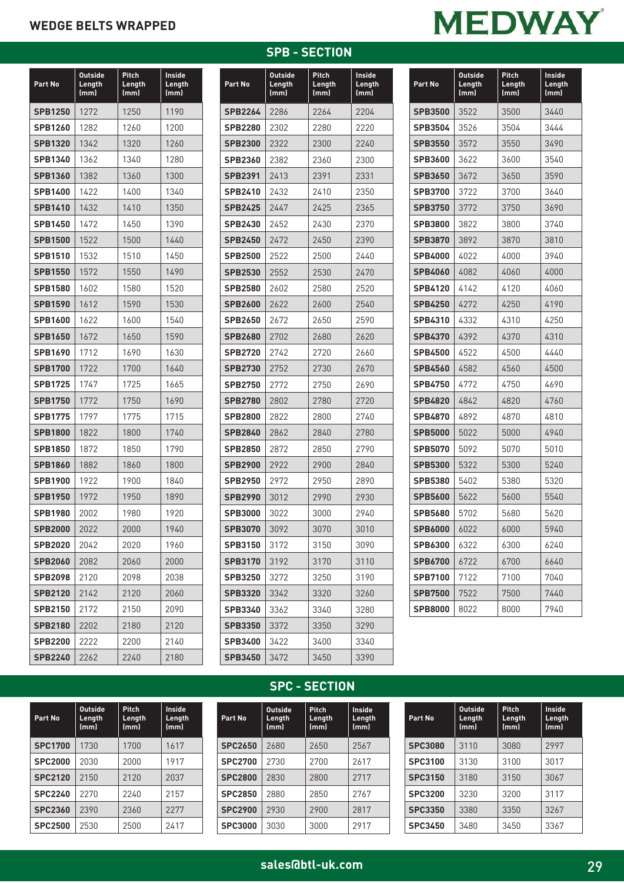# **MEDWAY**

| Part No        | <b>Outside</b><br>Length<br>(mm) | Pitch<br>Length<br>(mm) | Inside<br>Length<br>(mm) |  |
|----------------|----------------------------------|-------------------------|--------------------------|--|
| <b>SPB1250</b> | 1272                             | 1250                    | 1190                     |  |
| <b>SPB1260</b> | 1282                             | 1260                    | 1200                     |  |
| <b>SPB1320</b> | 1342                             | 1320                    | 1260                     |  |
| SPB1340        | 1362                             | 1340                    | 1280                     |  |
| <b>SPB1360</b> | 1382                             | 1360                    | 1300                     |  |
| <b>SPB1400</b> | 1422                             | 1400                    | 1340                     |  |
| <b>SPB1410</b> | 1432                             | 1410                    | 1350                     |  |
| <b>SPB1450</b> | 1472                             | 1450                    | 1390                     |  |
| <b>SPB1500</b> | 1522                             | 1500                    | 1440                     |  |
| <b>SPB1510</b> | 1532                             | 1510                    | 1450                     |  |
| <b>SPB1550</b> | 1572                             | 1550                    | 1490                     |  |
| <b>SPB1580</b> | 1602                             | 1580                    | 1520                     |  |
| <b>SPB1590</b> | 1612                             | 1590                    | 1530                     |  |
| <b>SPB1600</b> | 1622                             | 1600                    | 1540                     |  |
| <b>SPB1650</b> | 1672                             | 1650                    | 1590                     |  |
| <b>SPB1690</b> | 1712                             | 1690                    | 1630                     |  |
| <b>SPB1700</b> | 1722                             | 1700                    | 1640                     |  |
| <b>SPB1725</b> | 1747                             | 1725                    | 1665                     |  |
| <b>SPB1750</b> | 1772                             | 1750                    | 1690                     |  |
| <b>SPB1775</b> | 1797                             | 1775                    | 1715                     |  |
| <b>SPB1800</b> | 1822                             | 1800                    | 1740                     |  |
| <b>SPB1850</b> | 1872                             | 1850                    | 1790                     |  |
| <b>SPB1860</b> | 1882                             | 1860                    | 1800                     |  |
| <b>SPB1900</b> | 1922                             | 1900                    | 1840                     |  |
| <b>SPB1950</b> | 1972                             | 1950                    | 1890                     |  |
| <b>SPB1980</b> | 2002                             | 1980                    | 1920                     |  |
| <b>SPB2000</b> | 2022                             | 2000                    | 1940                     |  |
| <b>SPB2020</b> | 2042                             | 2020                    | 1960                     |  |
| <b>SPB2060</b> | 2082                             | 2060                    | 2000                     |  |
| <b>SPB2098</b> | 2120                             | 2098                    | 2038                     |  |
| <b>SPB2120</b> | 2142                             | 2120                    | 2060                     |  |
| <b>SPB2150</b> | 2172                             | 2150                    | 2090                     |  |
| <b>SPB2180</b> | 2202                             | 2180                    | 2120                     |  |
| <b>SPB2200</b> | 2222                             | 2200                    | 2140                     |  |
| <b>SPB2240</b> | 2262                             | 2240                    | 2180                     |  |

## **SPB - SECTION**

| Part No        | <b>Outside</b><br>Length<br>(mm) | Pitch<br>Length<br>(mm) | Inside<br>Length<br>(mm) |  |
|----------------|----------------------------------|-------------------------|--------------------------|--|
| <b>SPB2264</b> | 2286                             | 2264                    | 2204                     |  |
| <b>SPB2280</b> | 2302                             | 2280                    | 2220                     |  |
| <b>SPB2300</b> | 2322                             | 2300                    | 2240                     |  |
| <b>SPB2360</b> | 2382                             | 2360                    | 2300                     |  |
| <b>SPB2391</b> | 2413                             | 2391                    | 2331                     |  |
| <b>SPB2410</b> | 2432                             | 2410                    | 2350                     |  |
| <b>SPB2425</b> | 2447                             | 2425                    | 2365                     |  |
| <b>SPB2430</b> | 2452                             | 2430                    | 2370                     |  |
| <b>SPB2450</b> | 2472                             | 2450                    | 2390                     |  |
| <b>SPB2500</b> | 2522                             | 2500                    | 2440                     |  |
| <b>SPB2530</b> | 2552                             | 2530                    | 2470                     |  |
| <b>SPB2580</b> | 2602                             | 2580                    | 2520                     |  |
| <b>SPB2600</b> | 2622                             | 2600                    | 2540                     |  |
| <b>SPB2650</b> | 2672                             | 2650                    | 2590                     |  |
| <b>SPB2680</b> | 2702                             | 2680                    | 2620                     |  |
| <b>SPB2720</b> | 2742                             | 2720                    | 2660                     |  |
| <b>SPB2730</b> | 2752                             | 2730                    | 2670                     |  |
| <b>SPB2750</b> | 2772                             | 2750                    | 2690                     |  |
| <b>SPB2780</b> | 2802                             | 2780                    | 2720                     |  |
| <b>SPB2800</b> | 2822                             | 2800                    | 2740                     |  |
| <b>SPB2840</b> | 2862                             | 2840                    | 2780                     |  |
| <b>SPB2850</b> | 2872                             | 2850                    | 2790                     |  |
| <b>SPB2900</b> | 2922                             | 2900                    | 2840                     |  |
| <b>SPB2950</b> | 2972                             | 2950                    | 2890                     |  |
| <b>SPB2990</b> | 3012                             | 2990                    | 2930                     |  |
| <b>SPB3000</b> | 3022                             | 3000                    | 2940                     |  |
| <b>SPB3070</b> | 3092                             | 3070                    | 3010                     |  |
| <b>SPB3150</b> | 3172                             | 3150                    | 3090                     |  |
| <b>SPB3170</b> | 3192                             | 3170                    | 3110                     |  |
| <b>SPB3250</b> | 3272                             | 3250                    | 3190                     |  |
| <b>SPB3320</b> | 3342                             | 3320                    | 3260                     |  |
| SPB3340        | 3362                             | 3340                    | 3280                     |  |
| <b>SPB3350</b> | 3372                             | 3350                    | 3290                     |  |
| <b>SPB3400</b> | 3422                             | 3400                    | 3340                     |  |
| <b>SPB3450</b> | 3472                             | 3450                    | 3390                     |  |

| <b>Part No</b> | <b>Outside</b><br>Length<br>(mm) | Pitch<br>Length<br>(mm) | <b>Inside</b><br>Length<br>(mm) |  |
|----------------|----------------------------------|-------------------------|---------------------------------|--|
| <b>SPB3500</b> | 3522                             | 3500                    | 3440                            |  |
| <b>SPB3504</b> | 3526                             | 3504                    | 3444                            |  |
| <b>SPB3550</b> | 3572                             | 3550                    | 3490                            |  |
| <b>SPB3600</b> | 3622                             | 3600                    | 3540                            |  |
| <b>SPB3650</b> | 3672                             | 3650                    | 3590                            |  |
| <b>SPB3700</b> | 3722                             | 3700                    | 3640                            |  |
| <b>SPB3750</b> | 3772                             | 3750                    | 3690                            |  |
| <b>SPB3800</b> | 3822                             | 3800                    | 3740                            |  |
| <b>SPB3870</b> | 3892                             | 3870                    | 3810                            |  |
| <b>SPB4000</b> | 4022                             | 4000                    | 3940                            |  |
| <b>SPB4060</b> | 4082                             | 4060                    | 4000                            |  |
| <b>SPB4120</b> | 4142                             | 4120                    | 4060                            |  |
| <b>SPB4250</b> | 4272                             | 4250                    | 4190                            |  |
| SPB4310        | 4332                             | 4310                    | 4250                            |  |
| <b>SPB4370</b> | 4392                             | 4370                    | 4310                            |  |
| SPB4500        | 4522                             | 4500                    | 4440                            |  |
| <b>SPB4560</b> | 4582                             | 4560                    | 4500                            |  |
| <b>SPB4750</b> | 4772                             | 4750                    | 4690                            |  |
| <b>SPB4820</b> | 4842                             | 4820                    | 4760                            |  |
| <b>SPB4870</b> | 4892                             | 4870                    | 4810                            |  |
| <b>SPB5000</b> | 5022                             | 5000                    | 4940                            |  |
| <b>SPB5070</b> | 5092                             | 5070                    | 5010                            |  |
| <b>SPB5300</b> | 5322                             | 5300                    | 5240                            |  |
| <b>SPB5380</b> | 5402                             | 5380                    | 5320                            |  |
| <b>SPB5600</b> | 5622                             | 5600                    | 5540                            |  |
| <b>SPB5680</b> | 5702                             | 5680                    | 5620                            |  |
| <b>SPB6000</b> | 6022                             | 6000                    | 5940                            |  |
| SPB6300        | 6322                             | 6300                    | 6240                            |  |
| <b>SPB6700</b> | 6722                             | 6700                    | 6640                            |  |
| <b>SPB7100</b> | 7122                             | 7100                    | 7040                            |  |
| <b>SPB7500</b> | 7522                             | 7500                    | 7440                            |  |
| <b>SPB8000</b> | 8022                             | 8000                    | 7940                            |  |

## **SPC - SECTION**

**Pitch Length (mm)**

**Inside Length (mm)**

| Part No        | <b>Outside</b><br>Length<br>(mm) | <b>Pitch</b><br>Length<br>(mm) | Inside<br>Length<br>(mm) | Part No        | <b>Outside</b><br>Length<br>(mm) |
|----------------|----------------------------------|--------------------------------|--------------------------|----------------|----------------------------------|
| <b>SPC1700</b> | 1730                             | 1700                           | 1617                     | <b>SPC2650</b> | 2680                             |
| <b>SPC2000</b> | 2030                             | 2000                           | 1917                     | <b>SPC2700</b> | 2730                             |
| <b>SPC2120</b> | 2150                             | 2120                           | 2037                     | <b>SPC2800</b> | 2830                             |
| <b>SPC2240</b> | 2270                             | 2240                           | 2157                     | <b>SPC2850</b> | 2880                             |
| <b>SPC2360</b> | 2390                             | 2360                           | 2277                     | <b>SPC2900</b> | 2930                             |
| <b>SPC2500</b> | 2530                             | 2500                           | 2417                     | <b>SPC3000</b> | 3030                             |

| Part No        | <b>Outside</b><br>Length<br>(mm) | Pitch<br>Length<br>(mm) | Inside<br>Length<br>(mm) |
|----------------|----------------------------------|-------------------------|--------------------------|
| <b>SPC3080</b> | 3110                             | 3080                    | 2997                     |
| SPC3100        | 3130                             | 3100                    | 3017                     |
| <b>SPC3150</b> | 3180                             | 3150                    | 3067                     |
| <b>SPC3200</b> | 3230                             | 3200                    | 3117                     |
| <b>SPC3350</b> | 3380                             | 3350                    | 3267                     |
| <b>SPC3450</b> | 3480                             | 3450                    | 3367                     |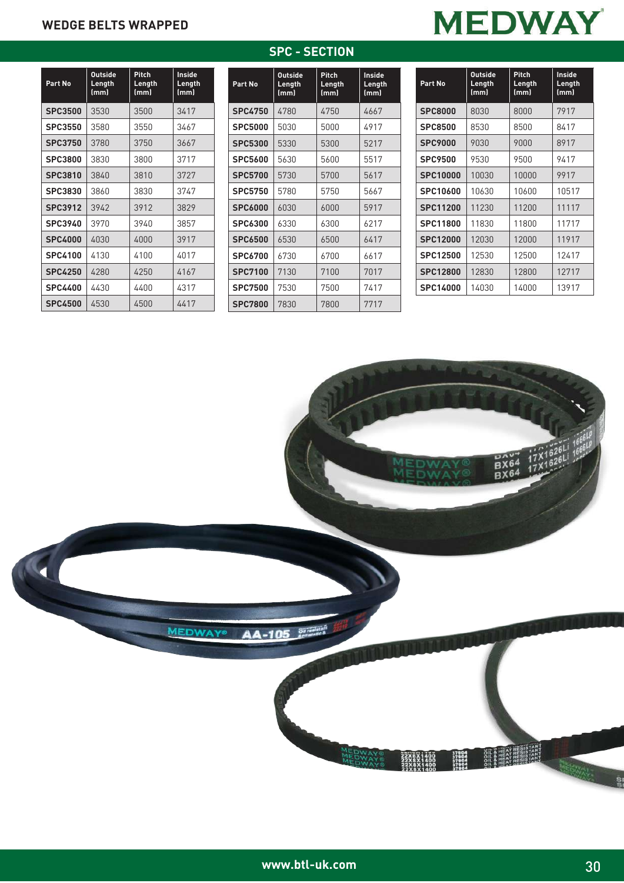## **MEDWAY**

| Part No        | <b>Outside</b><br>Length<br>(mm) | Pitch<br>Length<br>(mm) | Inside<br>Length<br>(mm) |  |  |
|----------------|----------------------------------|-------------------------|--------------------------|--|--|
| <b>SPC3500</b> | 3530                             | 3500                    | 3417                     |  |  |
| <b>SPC3550</b> | 3580                             | 3550                    | 3467                     |  |  |
| <b>SPC3750</b> | 3780                             | 3750                    | 3667                     |  |  |
| <b>SPC3800</b> | 3830                             | 3800                    | 3717                     |  |  |
| SPC3810        | 3840                             | 3810                    | 3727                     |  |  |
| <b>SPC3830</b> | 3860                             | 3830                    | 3747                     |  |  |
| <b>SPC3912</b> | 3942                             | 3912                    | 3829                     |  |  |
| <b>SPC3940</b> | 3970                             | 3940                    | 3857                     |  |  |
| <b>SPC4000</b> | 4030                             | 4000                    | 3917                     |  |  |
| <b>SPC4100</b> | 4130                             | 4100                    | 4017                     |  |  |
| <b>SPC4250</b> | 4280                             | 4250                    | 4167                     |  |  |
| <b>SPC4400</b> | 4430                             | 4400                    | 4317                     |  |  |
| <b>SPC4500</b> | 4530                             | 4500                    | 4417                     |  |  |

| Part No        | Outside<br>Length<br>(mm) | Pitch<br>Length<br>(mm) | Inside<br>Length<br>(mm) |  |
|----------------|---------------------------|-------------------------|--------------------------|--|
| <b>SPC4750</b> | 4780                      | 4750                    | 4667                     |  |
| <b>SPC5000</b> | 5030                      | 5000                    | 4917                     |  |
| <b>SPC5300</b> | 5330                      | 5300                    | 5217                     |  |
| <b>SPC5600</b> | 5630                      | 5600                    | 5517                     |  |
| <b>SPC5700</b> | 5730                      | 5700                    | 5617                     |  |
| <b>SPC5750</b> | 5780                      | 5750                    | 5667                     |  |
| <b>SPC6000</b> | 6030                      | 6000                    | 5917                     |  |
| <b>SPC6300</b> | 6330                      | 6300                    | 6217                     |  |
| <b>SPC6500</b> | 6530                      | 6500                    | 6417                     |  |
| <b>SPC6700</b> | 6730                      | 6700                    | 6617                     |  |
| <b>SPC7100</b> | 7130                      | 7100                    | 7017                     |  |
| <b>SPC7500</b> | 7530                      | 7500                    | 7417                     |  |
| <b>SPC7800</b> | 7830                      | 7800                    | 7717                     |  |

**SPC - SECTION**

| Part No         | <b>Outside</b><br>Length<br>(mm) | Pitch<br>Length<br>(mm) | Inside<br>Length<br>(mm) |  |
|-----------------|----------------------------------|-------------------------|--------------------------|--|
| <b>SPC8000</b>  | 8030                             | 8000                    | 7917                     |  |
| <b>SPC8500</b>  | 8530                             | 8500                    | 8417                     |  |
| <b>SPC9000</b>  | 9030                             | 9000                    | 8917                     |  |
| <b>SPC9500</b>  | 9530                             | 9500                    | 9417                     |  |
| <b>SPC10000</b> | 10030                            | 10000                   | 9917                     |  |
| SPC10600        | 10630                            | 10600                   | 10517                    |  |
| <b>SPC11200</b> | 11230                            | 11200                   | 11117                    |  |
| SPC11800        | 11830                            | 11800                   | 11717                    |  |
| <b>SPC12000</b> | 12030                            | 12000                   | 11917                    |  |
| SPC12500        | 12530                            | 12500                   | 12417                    |  |
| <b>SPC12800</b> | 12830                            | 12800                   | 12717                    |  |
| SPC14000        | 14030                            | 14000                   | 13917                    |  |

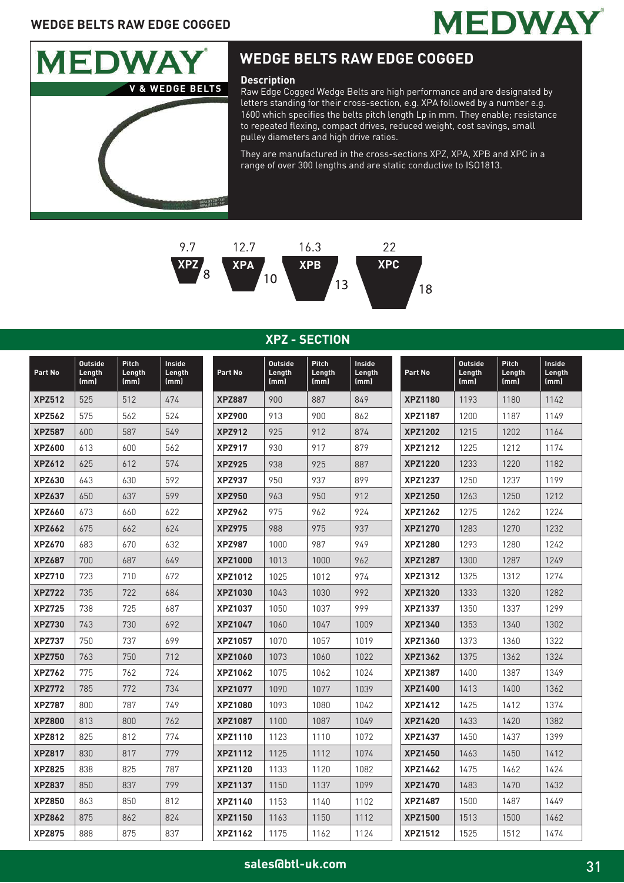## **WEDGE BELTS RAW EDGE COGGED**





## **WEDGE BELTS RAW EDGE COGGED**

#### **Description**

Raw Edge Cogged Wedge Belts are high performance and are designated by letters standing for their cross-section, e.g. XPA followed by a number e.g. 1600 which specifies the belts pitch length Lp in mm. They enable; resistance to repeated flexing, compact drives, reduced weight, cost savings, small pulley diameters and high drive ratios.

They are manufactured in the cross-sections XPZ, XPA, XPB and XPC in a range of over 300 lengths and are static conductive to ISO1813.



### **XPZ - SECTION**

| Part No       | <b>Outside</b><br>Length<br>(mm) | <b>Pitch</b><br>Length<br>(mm) | Inside<br>Length<br>(mm) | Part No        | <b>Outside</b><br>Length<br>(mm) | <b>Pitch</b><br>Length<br>(mm) | Inside<br>Length<br>(mm) | Part No        | <b>Outside</b><br>Length<br>(mm) | <b>Pitch</b><br>Length<br>(mm) | Inside<br>Length<br>(mm) |
|---------------|----------------------------------|--------------------------------|--------------------------|----------------|----------------------------------|--------------------------------|--------------------------|----------------|----------------------------------|--------------------------------|--------------------------|
| <b>XPZ512</b> | 525                              | 512                            | 474                      | <b>XPZ887</b>  | 900                              | 887                            | 849                      | <b>XPZ1180</b> | 1193                             | 1180                           | 1142                     |
| <b>XPZ562</b> | 575                              | 562                            | 524                      | <b>XPZ900</b>  | 913                              | 900                            | 862                      | <b>XPZ1187</b> | 1200                             | 1187                           | 1149                     |
| <b>XPZ587</b> | 600                              | 587                            | 549                      | <b>XPZ912</b>  | 925                              | 912                            | 874                      | <b>XPZ1202</b> | 1215                             | 1202                           | 1164                     |
| <b>XPZ600</b> | 613                              | 600                            | 562                      | <b>XPZ917</b>  | 930                              | 917                            | 879                      | <b>XPZ1212</b> | 1225                             | 1212                           | 1174                     |
| <b>XPZ612</b> | 625                              | 612                            | 574                      | <b>XPZ925</b>  | 938                              | 925                            | 887                      | <b>XPZ1220</b> | 1233                             | 1220                           | 1182                     |
| XPZ630        | 643                              | 630                            | 592                      | <b>XPZ937</b>  | 950                              | 937                            | 899                      | <b>XPZ1237</b> | 1250                             | 1237                           | 1199                     |
| <b>XPZ637</b> | 650                              | 637                            | 599                      | <b>XPZ950</b>  | 963                              | 950                            | 912                      | <b>XPZ1250</b> | 1263                             | 1250                           | 1212                     |
| <b>XPZ660</b> | 673                              | 660                            | 622                      | <b>XPZ962</b>  | 975                              | 962                            | 924                      | <b>XPZ1262</b> | 1275                             | 1262                           | 1224                     |
| <b>XPZ662</b> | 675                              | 662                            | 624                      | <b>XPZ975</b>  | 988                              | 975                            | 937                      | <b>XPZ1270</b> | 1283                             | 1270                           | 1232                     |
| <b>XPZ670</b> | 683                              | 670                            | 632                      | <b>XPZ987</b>  | 1000                             | 987                            | 949                      | <b>XPZ1280</b> | 1293                             | 1280                           | 1242                     |
| <b>XPZ687</b> | 700                              | 687                            | 649                      | <b>XPZ1000</b> | 1013                             | 1000                           | 962                      | <b>XPZ1287</b> | 1300                             | 1287                           | 1249                     |
| <b>XPZ710</b> | 723                              | 710                            | 672                      | <b>XPZ1012</b> | 1025                             | 1012                           | 974                      | <b>XPZ1312</b> | 1325                             | 1312                           | 1274                     |
| <b>XPZ722</b> | 735                              | 722                            | 684                      | <b>XPZ1030</b> | 1043                             | 1030                           | 992                      | <b>XPZ1320</b> | 1333                             | 1320                           | 1282                     |
| <b>XPZ725</b> | 738                              | 725                            | 687                      | <b>XPZ1037</b> | 1050                             | 1037                           | 999                      | <b>XPZ1337</b> | 1350                             | 1337                           | 1299                     |
| <b>XPZ730</b> | 743                              | 730                            | 692                      | <b>XPZ1047</b> | 1060                             | 1047                           | 1009                     | <b>XPZ1340</b> | 1353                             | 1340                           | 1302                     |
| <b>XPZ737</b> | 750                              | 737                            | 699                      | <b>XPZ1057</b> | 1070                             | 1057                           | 1019                     | <b>XPZ1360</b> | 1373                             | 1360                           | 1322                     |
| <b>XPZ750</b> | 763                              | 750                            | 712                      | <b>XPZ1060</b> | 1073                             | 1060                           | 1022                     | <b>XPZ1362</b> | 1375                             | 1362                           | 1324                     |
| <b>XPZ762</b> | 775                              | 762                            | 724                      | <b>XPZ1062</b> | 1075                             | 1062                           | 1024                     | <b>XPZ1387</b> | 1400                             | 1387                           | 1349                     |
| <b>XPZ772</b> | 785                              | 772                            | 734                      | <b>XPZ1077</b> | 1090                             | 1077                           | 1039                     | <b>XPZ1400</b> | 1413                             | 1400                           | 1362                     |
| <b>XPZ787</b> | 800                              | 787                            | 749                      | <b>XPZ1080</b> | 1093                             | 1080                           | 1042                     | <b>XPZ1412</b> | 1425                             | 1412                           | 1374                     |
| <b>XPZ800</b> | 813                              | 800                            | 762                      | <b>XPZ1087</b> | 1100                             | 1087                           | 1049                     | <b>XPZ1420</b> | 1433                             | 1420                           | 1382                     |
| <b>XPZ812</b> | 825                              | 812                            | 774                      | XPZ1110        | 1123                             | 1110                           | 1072                     | XPZ1437        | 1450                             | 1437                           | 1399                     |
| <b>XPZ817</b> | 830                              | 817                            | 779                      | <b>XPZ1112</b> | 1125                             | 1112                           | 1074                     | <b>XPZ1450</b> | 1463                             | 1450                           | 1412                     |
| <b>XPZ825</b> | 838                              | 825                            | 787                      | <b>XPZ1120</b> | 1133                             | 1120                           | 1082                     | <b>XPZ1462</b> | 1475                             | 1462                           | 1424                     |
| <b>XPZ837</b> | 850                              | 837                            | 799                      | <b>XPZ1137</b> | 1150                             | 1137                           | 1099                     | <b>XPZ1470</b> | 1483                             | 1470                           | 1432                     |
| <b>XPZ850</b> | 863                              | 850                            | 812                      | <b>XPZ1140</b> | 1153                             | 1140                           | 1102                     | <b>XPZ1487</b> | 1500                             | 1487                           | 1449                     |
| <b>XPZ862</b> | 875                              | 862                            | 824                      | <b>XPZ1150</b> | 1163                             | 1150                           | 1112                     | <b>XPZ1500</b> | 1513                             | 1500                           | 1462                     |
| <b>XPZ875</b> | 888                              | 875                            | 837                      | <b>XPZ1162</b> | 1175                             | 1162                           | 1124                     | <b>XPZ1512</b> | 1525                             | 1512                           | 1474                     |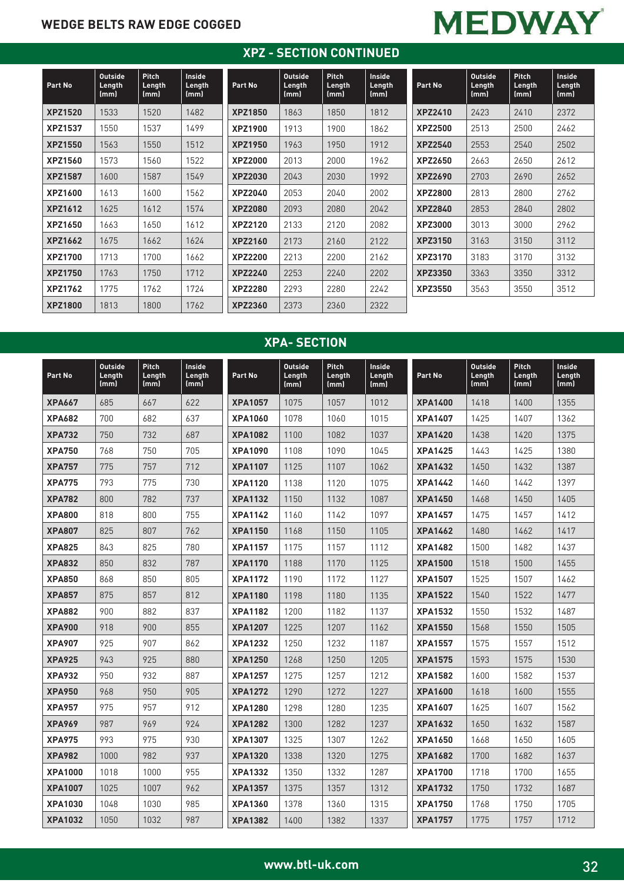## **WEDGE BELTS RAW EDGE COGGED**

## **MEDWAY**

## **XPZ - SECTION CONTINUED**

| Part No        | <b>Outside</b><br>Length<br>(mm) | <b>Pitch</b><br>Length<br>(mm) | <b>Inside</b><br>Length<br>(mm) | Part No        | <b>Outside</b><br>Length<br>(mm) | <b>Pitch</b><br>Length<br>(mm) | <b>Inside</b><br>Length<br>(mm) | Part No        | <b>Outside</b><br>Length<br>(mm) | <b>Pitch</b><br>Length<br>(mm) | Inside<br>Length<br>(mm) |
|----------------|----------------------------------|--------------------------------|---------------------------------|----------------|----------------------------------|--------------------------------|---------------------------------|----------------|----------------------------------|--------------------------------|--------------------------|
| <b>XPZ1520</b> | 1533                             | 1520                           | 1482                            | <b>XPZ1850</b> | 1863                             | 1850                           | 1812                            | <b>XPZ2410</b> | 2423                             | 2410                           | 2372                     |
| <b>XPZ1537</b> | 1550                             | 1537                           | 1499                            | <b>XPZ1900</b> | 1913                             | 1900                           | 1862                            | <b>XPZ2500</b> | 2513                             | 2500                           | 2462                     |
| <b>XPZ1550</b> | 1563                             | 1550                           | 1512                            | <b>XPZ1950</b> | 1963                             | 1950                           | 1912                            | <b>XPZ2540</b> | 2553                             | 2540                           | 2502                     |
| <b>XPZ1560</b> | 1573                             | 1560                           | 1522                            | <b>XPZ2000</b> | 2013                             | 2000                           | 1962                            | XPZ2650        | 2663                             | 2650                           | 2612                     |
| <b>XPZ1587</b> | 1600                             | 1587                           | 1549                            | <b>XPZ2030</b> | 2043                             | 2030                           | 1992                            | <b>XPZ2690</b> | 2703                             | 2690                           | 2652                     |
| XPZ1600        | 1613                             | 1600                           | 1562                            | XPZ2040        | 2053                             | 2040                           | 2002                            | <b>XPZ2800</b> | 2813                             | 2800                           | 2762                     |
| <b>XPZ1612</b> | 1625                             | 1612                           | 1574                            | <b>XPZ2080</b> | 2093                             | 2080                           | 2042                            | <b>XPZ2840</b> | 2853                             | 2840                           | 2802                     |
| XPZ1650        | 1663                             | 1650                           | 1612                            | <b>XPZ2120</b> | 2133                             | 2120                           | 2082                            | <b>XPZ3000</b> | 3013                             | 3000                           | 2962                     |
| <b>XPZ1662</b> | 1675                             | 1662                           | 1624                            | <b>XPZ2160</b> | 2173                             | 2160                           | 2122                            | <b>XPZ3150</b> | 3163                             | 3150                           | 3112                     |
| <b>XPZ1700</b> | 1713                             | 1700                           | 1662                            | <b>XPZ2200</b> | 2213                             | 2200                           | 2162                            | <b>XPZ3170</b> | 3183                             | 3170                           | 3132                     |
| <b>XPZ1750</b> | 1763                             | 1750                           | 1712                            | <b>XPZ2240</b> | 2253                             | 2240                           | 2202                            | <b>XPZ3350</b> | 3363                             | 3350                           | 3312                     |
| <b>XPZ1762</b> | 1775                             | 1762                           | 1724                            | <b>XPZ2280</b> | 2293                             | 2280                           | 2242                            | <b>XPZ3550</b> | 3563                             | 3550                           | 3512                     |
| <b>XPZ1800</b> | 1813                             | 1800                           | 1762                            | <b>XPZ2360</b> | 2373                             | 2360                           | 2322                            |                |                                  |                                |                          |

## **XPA- SECTION**

| Part No        | <b>Outside</b><br>Length<br>(mm) | Pitch<br>Length<br>(mm) | Inside<br>Length<br>(mm) | Part No        | <b>Outside</b><br>Length<br>(mm) | Pitch<br>Length<br>(mm) | Inside<br>Length<br>(mm) | Part No        | <b>Outside</b><br>Length<br>(mm) | Pitch<br>Length<br>(mm) | Inside<br>Length<br>(mm) |
|----------------|----------------------------------|-------------------------|--------------------------|----------------|----------------------------------|-------------------------|--------------------------|----------------|----------------------------------|-------------------------|--------------------------|
| <b>XPA667</b>  | 685                              | 667                     | 622                      | <b>XPA1057</b> | 1075                             | 1057                    | 1012                     | <b>XPA1400</b> | 1418                             | 1400                    | 1355                     |
| <b>XPA682</b>  | 700                              | 682                     | 637                      | <b>XPA1060</b> | 1078                             | 1060                    | 1015                     | <b>XPA1407</b> | 1425                             | 1407                    | 1362                     |
| <b>XPA732</b>  | 750                              | 732                     | 687                      | <b>XPA1082</b> | 1100                             | 1082                    | 1037                     | <b>XPA1420</b> | 1438                             | 1420                    | 1375                     |
| <b>XPA750</b>  | 768                              | 750                     | 705                      | <b>XPA1090</b> | 1108                             | 1090                    | 1045                     | <b>XPA1425</b> | 1443                             | 1425                    | 1380                     |
| <b>XPA757</b>  | 775                              | 757                     | 712                      | <b>XPA1107</b> | 1125                             | 1107                    | 1062                     | <b>XPA1432</b> | 1450                             | 1432                    | 1387                     |
| <b>XPA775</b>  | 793                              | 775                     | 730                      | <b>XPA1120</b> | 1138                             | 1120                    | 1075                     | <b>XPA1442</b> | 1460                             | 1442                    | 1397                     |
| <b>XPA782</b>  | 800                              | 782                     | 737                      | <b>XPA1132</b> | 1150                             | 1132                    | 1087                     | <b>XPA1450</b> | 1468                             | 1450                    | 1405                     |
| <b>XPA800</b>  | 818                              | 800                     | 755                      | <b>XPA1142</b> | 1160                             | 1142                    | 1097                     | <b>XPA1457</b> | 1475                             | 1457                    | 1412                     |
| <b>XPA807</b>  | 825                              | 807                     | 762                      | <b>XPA1150</b> | 1168                             | 1150                    | 1105                     | <b>XPA1462</b> | 1480                             | 1462                    | 1417                     |
| <b>XPA825</b>  | 843                              | 825                     | 780                      | <b>XPA1157</b> | 1175                             | 1157                    | 1112                     | <b>XPA1482</b> | 1500                             | 1482                    | 1437                     |
| <b>XPA832</b>  | 850                              | 832                     | 787                      | <b>XPA1170</b> | 1188                             | 1170                    | 1125                     | <b>XPA1500</b> | 1518                             | 1500                    | 1455                     |
| <b>XPA850</b>  | 868                              | 850                     | 805                      | <b>XPA1172</b> | 1190                             | 1172                    | 1127                     | <b>XPA1507</b> | 1525                             | 1507                    | 1462                     |
| <b>XPA857</b>  | 875                              | 857                     | 812                      | <b>XPA1180</b> | 1198                             | 1180                    | 1135                     | <b>XPA1522</b> | 1540                             | 1522                    | 1477                     |
| <b>XPA882</b>  | 900                              | 882                     | 837                      | <b>XPA1182</b> | 1200                             | 1182                    | 1137                     | <b>XPA1532</b> | 1550                             | 1532                    | 1487                     |
| <b>XPA900</b>  | 918                              | 900                     | 855                      | <b>XPA1207</b> | 1225                             | 1207                    | 1162                     | <b>XPA1550</b> | 1568                             | 1550                    | 1505                     |
| <b>XPA907</b>  | 925                              | 907                     | 862                      | <b>XPA1232</b> | 1250                             | 1232                    | 1187                     | <b>XPA1557</b> | 1575                             | 1557                    | 1512                     |
| <b>XPA925</b>  | 943                              | 925                     | 880                      | <b>XPA1250</b> | 1268                             | 1250                    | 1205                     | <b>XPA1575</b> | 1593                             | 1575                    | 1530                     |
| <b>XPA932</b>  | 950                              | 932                     | 887                      | <b>XPA1257</b> | 1275                             | 1257                    | 1212                     | <b>XPA1582</b> | 1600                             | 1582                    | 1537                     |
| <b>XPA950</b>  | 968                              | 950                     | 905                      | <b>XPA1272</b> | 1290                             | 1272                    | 1227                     | <b>XPA1600</b> | 1618                             | 1600                    | 1555                     |
| <b>XPA957</b>  | 975                              | 957                     | 912                      | <b>XPA1280</b> | 1298                             | 1280                    | 1235                     | <b>XPA1607</b> | 1625                             | 1607                    | 1562                     |
| <b>XPA969</b>  | 987                              | 969                     | 924                      | <b>XPA1282</b> | 1300                             | 1282                    | 1237                     | <b>XPA1632</b> | 1650                             | 1632                    | 1587                     |
| <b>XPA975</b>  | 993                              | 975                     | 930                      | <b>XPA1307</b> | 1325                             | 1307                    | 1262                     | <b>XPA1650</b> | 1668                             | 1650                    | 1605                     |
| <b>XPA982</b>  | 1000                             | 982                     | 937                      | <b>XPA1320</b> | 1338                             | 1320                    | 1275                     | <b>XPA1682</b> | 1700                             | 1682                    | 1637                     |
| <b>XPA1000</b> | 1018                             | 1000                    | 955                      | <b>XPA1332</b> | 1350                             | 1332                    | 1287                     | <b>XPA1700</b> | 1718                             | 1700                    | 1655                     |
| <b>XPA1007</b> | 1025                             | 1007                    | 962                      | <b>XPA1357</b> | 1375                             | 1357                    | 1312                     | <b>XPA1732</b> | 1750                             | 1732                    | 1687                     |
| <b>XPA1030</b> | 1048                             | 1030                    | 985                      | <b>XPA1360</b> | 1378                             | 1360                    | 1315                     | <b>XPA1750</b> | 1768                             | 1750                    | 1705                     |
| <b>XPA1032</b> | 1050                             | 1032                    | 987                      | <b>XPA1382</b> | 1400                             | 1382                    | 1337                     | <b>XPA1757</b> | 1775                             | 1757                    | 1712                     |